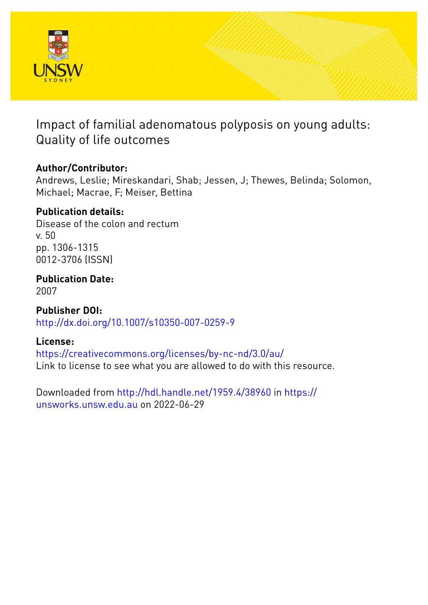

# Impact of familial adenomatous polyposis on young adults: Quality of life outcomes

# **Author/Contributor:**

Andrews, Leslie; Mireskandari, Shab; Jessen, J; Thewes, Belinda; Solomon, Michael; Macrae, F; Meiser, Bettina

# **Publication details:**

Disease of the colon and rectum v. 50 pp. 1306-1315 0012-3706 (ISSN)

**Publication Date:**

2007

**Publisher DOI:** [http://dx.doi.org/10.1007/s10350-007-0259-9](http://dx.doi.org/http://dx.doi.org/10.1007/s10350-007-0259-9)

# **License:**

<https://creativecommons.org/licenses/by-nc-nd/3.0/au/> Link to license to see what you are allowed to do with this resource.

Downloaded from <http://hdl.handle.net/1959.4/38960> in [https://](https://unsworks.unsw.edu.au) [unsworks.unsw.edu.au](https://unsworks.unsw.edu.au) on 2022-06-29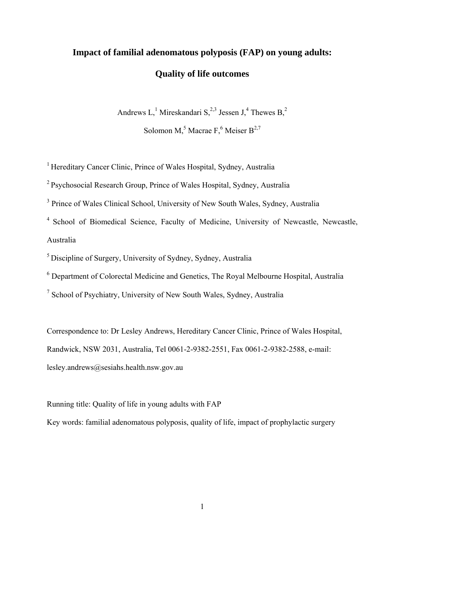# **Impact of familial adenomatous polyposis (FAP) on young adults:**

## **Quality of life outcomes**

Andrews  $L<sub>1</sub><sup>1</sup>$  Mireskandari S<sub>1</sub><sup>2,3</sup> Jessen J<sub>1</sub><sup>4</sup> Thewes B<sub>1</sub><sup>2</sup> Solomon M,<sup>5</sup> Macrae F,<sup>6</sup> Meiser  $B^{2,7}$ 

<sup>1</sup> Hereditary Cancer Clinic, Prince of Wales Hospital, Sydney, Australia

2 Psychosocial Research Group, Prince of Wales Hospital, Sydney, Australia

<sup>3</sup> Prince of Wales Clinical School, University of New South Wales, Sydney, Australia

4 School of Biomedical Science, Faculty of Medicine, University of Newcastle, Newcastle, Australia

5 Discipline of Surgery, University of Sydney, Sydney, Australia

<sup>6</sup> Department of Colorectal Medicine and Genetics, The Royal Melbourne Hospital, Australia

<sup>7</sup> School of Psychiatry, University of New South Wales, Sydney, Australia

Correspondence to: Dr Lesley Andrews, Hereditary Cancer Clinic, Prince of Wales Hospital, Randwick, NSW 2031, Australia, Tel 0061-2-9382-2551, Fax 0061-2-9382-2588, e-mail: lesley.andrews@sesiahs.health.nsw.gov.au

Running title: Quality of life in young adults with FAP

Key words: familial adenomatous polyposis, quality of life, impact of prophylactic surgery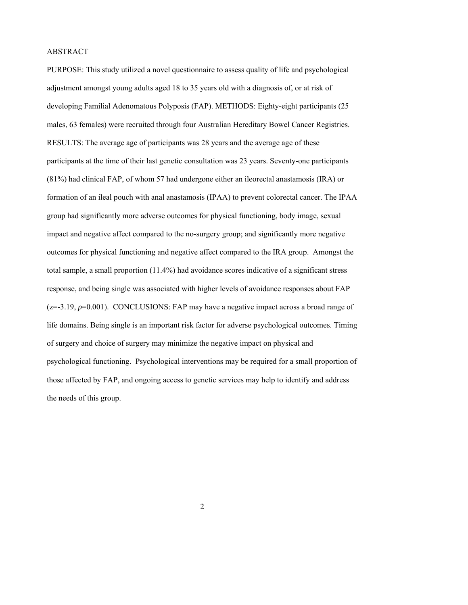### ABSTRACT

PURPOSE: This study utilized a novel questionnaire to assess quality of life and psychological adjustment amongst young adults aged 18 to 35 years old with a diagnosis of, or at risk of developing Familial Adenomatous Polyposis (FAP). METHODS: Eighty-eight participants (25 males, 63 females) were recruited through four Australian Hereditary Bowel Cancer Registries. RESULTS: The average age of participants was 28 years and the average age of these participants at the time of their last genetic consultation was 23 years. Seventy-one participants (81%) had clinical FAP, of whom 57 had undergone either an ileorectal anastamosis (IRA) or formation of an ileal pouch with anal anastamosis (IPAA) to prevent colorectal cancer. The IPAA group had significantly more adverse outcomes for physical functioning, body image, sexual impact and negative affect compared to the no-surgery group; and significantly more negative outcomes for physical functioning and negative affect compared to the IRA group. Amongst the total sample, a small proportion (11.4%) had avoidance scores indicative of a significant stress response, and being single was associated with higher levels of avoidance responses about FAP (z=-3.19, *p*=0.001). CONCLUSIONS: FAP may have a negative impact across a broad range of life domains. Being single is an important risk factor for adverse psychological outcomes. Timing of surgery and choice of surgery may minimize the negative impact on physical and psychological functioning. Psychological interventions may be required for a small proportion of those affected by FAP, and ongoing access to genetic services may help to identify and address the needs of this group.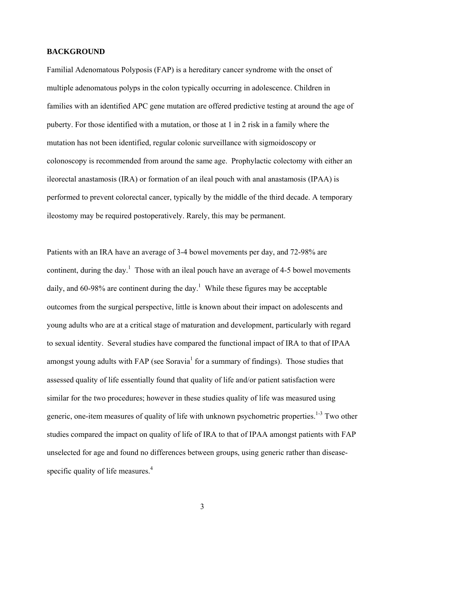### **BACKGROUND**

Familial Adenomatous Polyposis (FAP) is a hereditary cancer syndrome with the onset of multiple adenomatous polyps in the colon typically occurring in adolescence. Children in families with an identified APC gene mutation are offered predictive testing at around the age of puberty. For those identified with a mutation, or those at 1 in 2 risk in a family where the mutation has not been identified, regular colonic surveillance with sigmoidoscopy or colonoscopy is recommended from around the same age. Prophylactic colectomy with either an ileorectal anastamosis (IRA) or formation of an ileal pouch with anal anastamosis (IPAA) is performed to prevent colorectal cancer, typically by the middle of the third decade. A temporary ileostomy may be required postoperatively. Rarely, this may be permanent.

Patients with an IRA have an average of 3-4 bowel movements per day, and 72-98% are continent, during the day.<sup>1</sup> Those with an ileal pouch have an average of 4-5 bowel movements daily, and 60-98% are continent during the day.<sup>1</sup> While these figures may be acceptable outcomes from the surgical perspective, little is known about their impact on adolescents and young adults who are at a critical stage of maturation and development, particularly with regard to sexual identity. Several studies have compared the functional impact of IRA to that of IPAA amongst young adults with FAP (see Soravia<sup>1</sup> for a summary of findings). Those studies that assessed quality of life essentially found that quality of life and/or patient satisfaction were similar for the two procedures; however in these studies quality of life was measured using generic, one-item measures of quality of life with unknown psychometric properties.<sup>1-3</sup> Two other studies compared the impact on quality of life of IRA to that of IPAA amongst patients with FAP unselected for age and found no differences between groups, using generic rather than diseasespecific quality of life measures.<sup>4</sup>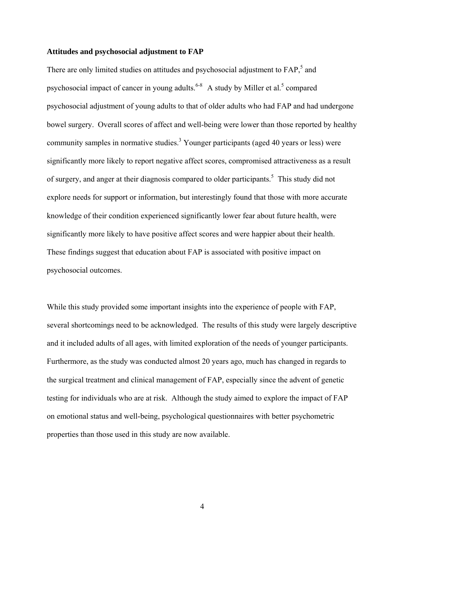#### **Attitudes and psychosocial adjustment to FAP**

There are only limited studies on attitudes and psychosocial adjustment to FAP,<sup>5</sup> and psychosocial impact of cancer in young adults.<sup>6-8</sup> A study by Miller et al.<sup>5</sup> compared psychosocial adjustment of young adults to that of older adults who had FAP and had undergone bowel surgery. Overall scores of affect and well-being were lower than those reported by healthy community samples in normative studies.<sup>3</sup> Younger participants (aged 40 years or less) were significantly more likely to report negative affect scores, compromised attractiveness as a result of surgery, and anger at their diagnosis compared to older participants.<sup>5</sup> This study did not explore needs for support or information, but interestingly found that those with more accurate knowledge of their condition experienced significantly lower fear about future health, were significantly more likely to have positive affect scores and were happier about their health. These findings suggest that education about FAP is associated with positive impact on psychosocial outcomes.

While this study provided some important insights into the experience of people with FAP, several shortcomings need to be acknowledged. The results of this study were largely descriptive and it included adults of all ages, with limited exploration of the needs of younger participants. Furthermore, as the study was conducted almost 20 years ago, much has changed in regards to the surgical treatment and clinical management of FAP, especially since the advent of genetic testing for individuals who are at risk. Although the study aimed to explore the impact of FAP on emotional status and well-being, psychological questionnaires with better psychometric properties than those used in this study are now available.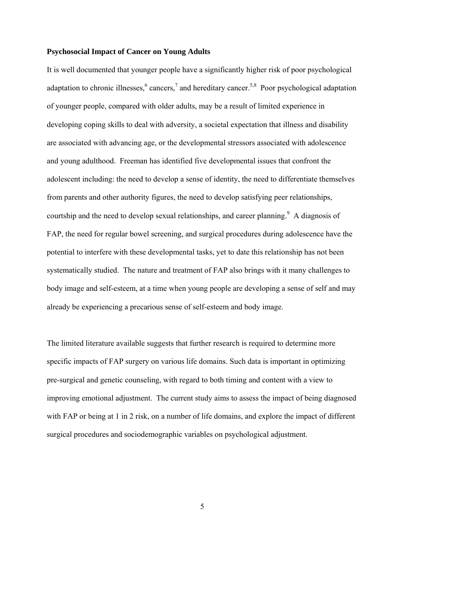#### **Psychosocial Impact of Cancer on Young Adults**

It is well documented that younger people have a significantly higher risk of poor psychological adaptation to chronic illnesses,  $6$  cancers,  $7$  and hereditary cancer.<sup>5,8</sup> Poor psychological adaptation of younger people, compared with older adults, may be a result of limited experience in developing coping skills to deal with adversity, a societal expectation that illness and disability are associated with advancing age, or the developmental stressors associated with adolescence and young adulthood. Freeman has identified five developmental issues that confront the adolescent including: the need to develop a sense of identity, the need to differentiate themselves from parents and other authority figures, the need to develop satisfying peer relationships, courtship and the need to develop sexual relationships, and career planning.<sup>9</sup> A diagnosis of FAP, the need for regular bowel screening, and surgical procedures during adolescence have the potential to interfere with these developmental tasks, yet to date this relationship has not been systematically studied. The nature and treatment of FAP also brings with it many challenges to body image and self-esteem, at a time when young people are developing a sense of self and may already be experiencing a precarious sense of self-esteem and body image.

The limited literature available suggests that further research is required to determine more specific impacts of FAP surgery on various life domains. Such data is important in optimizing pre-surgical and genetic counseling, with regard to both timing and content with a view to improving emotional adjustment. The current study aims to assess the impact of being diagnosed with FAP or being at 1 in 2 risk, on a number of life domains, and explore the impact of different surgical procedures and sociodemographic variables on psychological adjustment.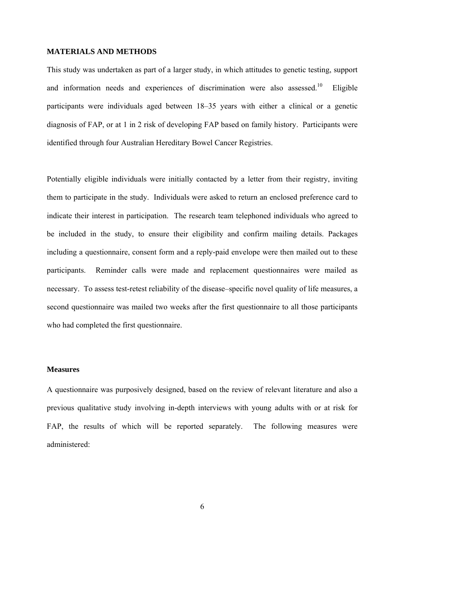### **MATERIALS AND METHODS**

This study was undertaken as part of a larger study, in which attitudes to genetic testing, support and information needs and experiences of discrimination were also assessed.<sup>10</sup> Eligible participants were individuals aged between 18–35 years with either a clinical or a genetic diagnosis of FAP, or at 1 in 2 risk of developing FAP based on family history. Participants were identified through four Australian Hereditary Bowel Cancer Registries.

Potentially eligible individuals were initially contacted by a letter from their registry, inviting them to participate in the study. Individuals were asked to return an enclosed preference card to indicate their interest in participation. The research team telephoned individuals who agreed to be included in the study, to ensure their eligibility and confirm mailing details. Packages including a questionnaire, consent form and a reply-paid envelope were then mailed out to these participants. Reminder calls were made and replacement questionnaires were mailed as necessary. To assess test-retest reliability of the disease–specific novel quality of life measures, a second questionnaire was mailed two weeks after the first questionnaire to all those participants who had completed the first questionnaire.

#### **Measures**

A questionnaire was purposively designed, based on the review of relevant literature and also a previous qualitative study involving in-depth interviews with young adults with or at risk for FAP, the results of which will be reported separately. The following measures were administered: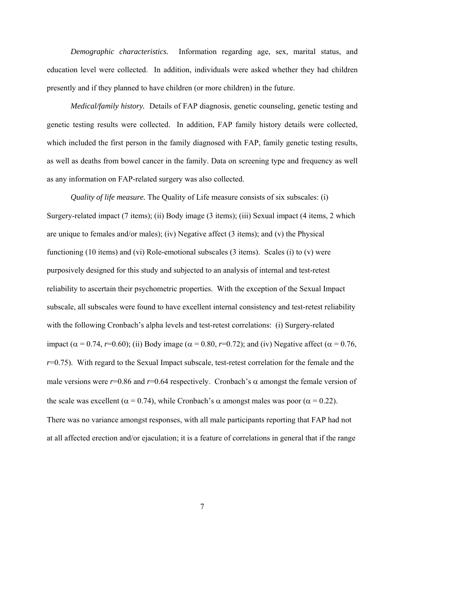*Demographic characteristics.* Information regarding age, sex, marital status, and education level were collected. In addition, individuals were asked whether they had children presently and if they planned to have children (or more children) in the future.

*Medical/family history.* Details of FAP diagnosis, genetic counseling, genetic testing and genetic testing results were collected. In addition, FAP family history details were collected, which included the first person in the family diagnosed with FAP, family genetic testing results, as well as deaths from bowel cancer in the family. Data on screening type and frequency as well as any information on FAP-related surgery was also collected.

*Quality of life measure.* The Quality of Life measure consists of six subscales: (i) Surgery-related impact (7 items); (ii) Body image (3 items); (iii) Sexual impact (4 items, 2 which are unique to females and/or males); (iv) Negative affect (3 items); and (v) the Physical functioning (10 items) and (vi) Role-emotional subscales (3 items). Scales (i) to (v) were purposively designed for this study and subjected to an analysis of internal and test-retest reliability to ascertain their psychometric properties. With the exception of the Sexual Impact subscale, all subscales were found to have excellent internal consistency and test-retest reliability with the following Cronbach's alpha levels and test-retest correlations: (i) Surgery-related impact ( $α = 0.74$ , *r*=0.60); (ii) Body image ( $α = 0.80$ , *r*=0.72); and (iv) Negative affect ( $α = 0.76$ , *r*=0.75). With regard to the Sexual Impact subscale, test-retest correlation for the female and the male versions were  $r=0.86$  and  $r=0.64$  respectively. Cronbach's  $\alpha$  amongst the female version of the scale was excellent ( $\alpha = 0.74$ ), while Cronbach's  $\alpha$  amongst males was poor ( $\alpha = 0.22$ ). There was no variance amongst responses, with all male participants reporting that FAP had not at all affected erection and/or ejaculation; it is a feature of correlations in general that if the range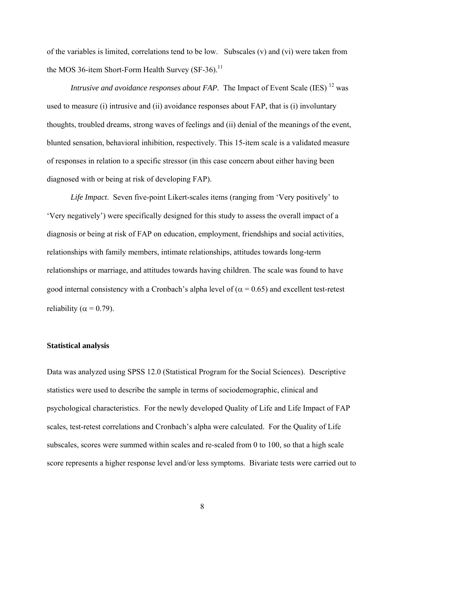of the variables is limited, correlations tend to be low. Subscales (v) and (vi) were taken from the MOS 36-item Short-Form Health Survey  $(SF-36)$ .<sup>11</sup>

*Intrusive and avoidance responses about FAP.* The Impact of Event Scale (IES) <sup>12</sup> was used to measure (i) intrusive and (ii) avoidance responses about FAP, that is (i) involuntary thoughts, troubled dreams, strong waves of feelings and (ii) denial of the meanings of the event, blunted sensation, behavioral inhibition, respectively. This 15-item scale is a validated measure of responses in relation to a specific stressor (in this case concern about either having been diagnosed with or being at risk of developing FAP).

*Life Impact*. Seven five-point Likert-scales items (ranging from 'Very positively' to 'Very negatively') were specifically designed for this study to assess the overall impact of a diagnosis or being at risk of FAP on education, employment, friendships and social activities, relationships with family members, intimate relationships, attitudes towards long-term relationships or marriage, and attitudes towards having children. The scale was found to have good internal consistency with a Cronbach's alpha level of ( $\alpha$  = 0.65) and excellent test-retest reliability ( $\alpha = 0.79$ ).

#### **Statistical analysis**

Data was analyzed using SPSS 12.0 (Statistical Program for the Social Sciences). Descriptive statistics were used to describe the sample in terms of sociodemographic, clinical and psychological characteristics. For the newly developed Quality of Life and Life Impact of FAP scales, test-retest correlations and Cronbach's alpha were calculated. For the Quality of Life subscales, scores were summed within scales and re-scaled from 0 to 100, so that a high scale score represents a higher response level and/or less symptoms. Bivariate tests were carried out to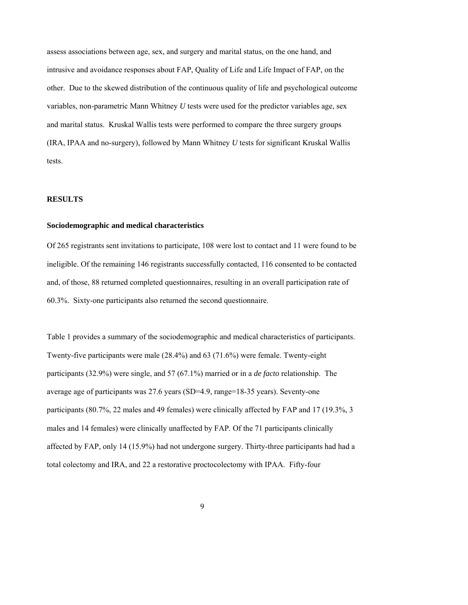assess associations between age, sex, and surgery and marital status, on the one hand, and intrusive and avoidance responses about FAP, Quality of Life and Life Impact of FAP, on the other. Due to the skewed distribution of the continuous quality of life and psychological outcome variables, non-parametric Mann Whitney *U* tests were used for the predictor variables age, sex and marital status. Kruskal Wallis tests were performed to compare the three surgery groups (IRA, IPAA and no-surgery), followed by Mann Whitney *U* tests for significant Kruskal Wallis tests.

#### **RESULTS**

#### **Sociodemographic and medical characteristics**

Of 265 registrants sent invitations to participate, 108 were lost to contact and 11 were found to be ineligible. Of the remaining 146 registrants successfully contacted, 116 consented to be contacted and, of those, 88 returned completed questionnaires, resulting in an overall participation rate of 60.3%. Sixty-one participants also returned the second questionnaire.

Table 1 provides a summary of the sociodemographic and medical characteristics of participants. Twenty-five participants were male (28.4%) and 63 (71.6%) were female. Twenty-eight participants (32.9%) were single, and 57 (67.1%) married or in a *de facto* relationship. The average age of participants was 27.6 years (SD=4.9, range=18-35 years). Seventy-one participants (80.7%, 22 males and 49 females) were clinically affected by FAP and 17 (19.3%, 3 males and 14 females) were clinically unaffected by FAP. Of the 71 participants clinically affected by FAP, only 14 (15.9%) had not undergone surgery. Thirty-three participants had had a total colectomy and IRA, and 22 a restorative proctocolectomy with IPAA. Fifty-four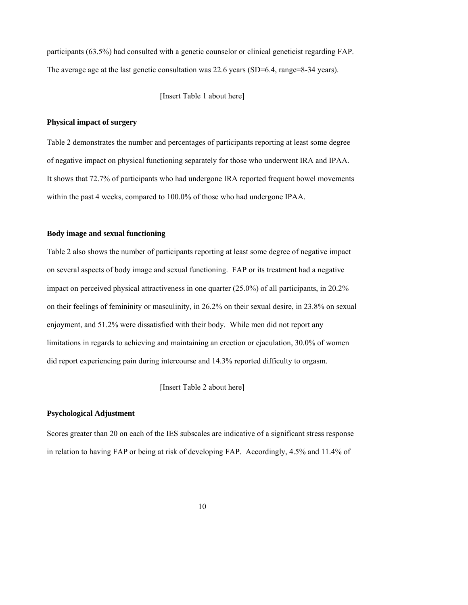participants (63.5%) had consulted with a genetic counselor or clinical geneticist regarding FAP. The average age at the last genetic consultation was 22.6 years (SD=6.4, range=8-34 years).

[Insert Table 1 about here]

#### **Physical impact of surgery**

Table 2 demonstrates the number and percentages of participants reporting at least some degree of negative impact on physical functioning separately for those who underwent IRA and IPAA. It shows that 72.7% of participants who had undergone IRA reported frequent bowel movements within the past 4 weeks, compared to 100.0% of those who had undergone IPAA.

#### **Body image and sexual functioning**

Table 2 also shows the number of participants reporting at least some degree of negative impact on several aspects of body image and sexual functioning. FAP or its treatment had a negative impact on perceived physical attractiveness in one quarter (25.0%) of all participants, in 20.2% on their feelings of femininity or masculinity, in 26.2% on their sexual desire, in 23.8% on sexual enjoyment, and 51.2% were dissatisfied with their body. While men did not report any limitations in regards to achieving and maintaining an erection or ejaculation, 30.0% of women did report experiencing pain during intercourse and 14.3% reported difficulty to orgasm.

[Insert Table 2 about here]

#### **Psychological Adjustment**

Scores greater than 20 on each of the IES subscales are indicative of a significant stress response in relation to having FAP or being at risk of developing FAP. Accordingly, 4.5% and 11.4% of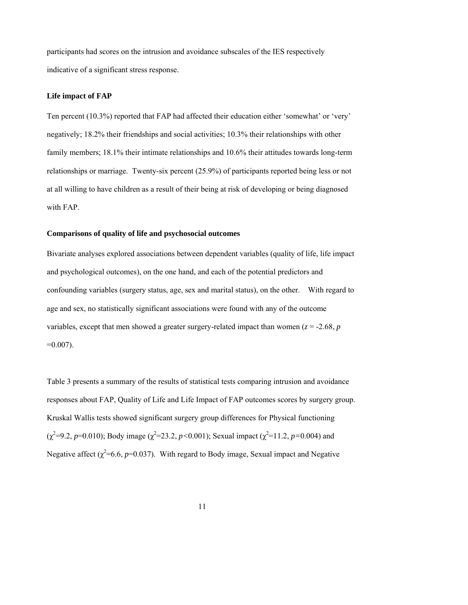participants had scores on the intrusion and avoidance subscales of the IES respectively indicative of a significant stress response.

#### **Life impact of FAP**

Ten percent (10.3%) reported that FAP had affected their education either 'somewhat' or 'very' negatively; 18.2% their friendships and social activities; 10.3% their relationships with other family members; 18.1% their intimate relationships and 10.6% their attitudes towards long-term relationships or marriage. Twenty-six percent (25.9%) of participants reported being less or not at all willing to have children as a result of their being at risk of developing or being diagnosed with FAP.

#### **Comparisons of quality of life and psychosocial outcomes**

Bivariate analyses explored associations between dependent variables (quality of life, life impact and psychological outcomes), on the one hand, and each of the potential predictors and confounding variables (surgery status, age, sex and marital status), on the other. With regard to age and sex, no statistically significant associations were found with any of the outcome variables, except that men showed a greater surgery-related impact than women ( $z = -2.68$ ,  $p$ )  $=0.007$ ).

Table 3 presents a summary of the results of statistical tests comparing intrusion and avoidance responses about FAP, Quality of Life and Life Impact of FAP outcomes scores by surgery group. Kruskal Wallis tests showed significant surgery group differences for Physical functioning ( $\chi^2$ =9.2, *p*=0.010); Body image ( $\chi^2$ =23.2, *p*<0.001); Sexual impact ( $\chi^2$ =11.2, *p*=0.004) and Negative affect  $(\chi^2=6.6, p=0.037)$ . With regard to Body image, Sexual impact and Negative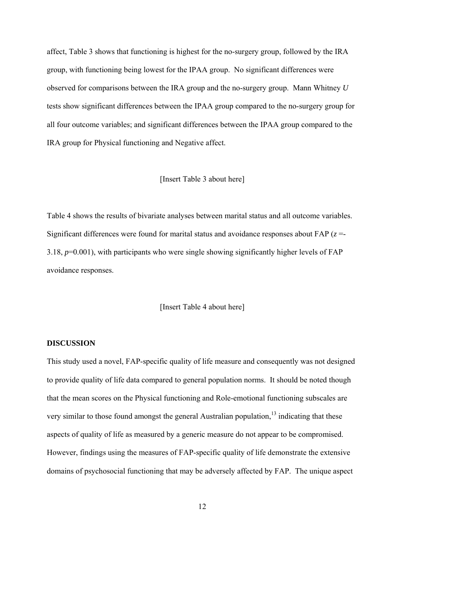affect, Table 3 shows that functioning is highest for the no-surgery group, followed by the IRA group, with functioning being lowest for the IPAA group. No significant differences were observed for comparisons between the IRA group and the no-surgery group. Mann Whitney *U* tests show significant differences between the IPAA group compared to the no-surgery group for all four outcome variables; and significant differences between the IPAA group compared to the IRA group for Physical functioning and Negative affect.

[Insert Table 3 about here]

Table 4 shows the results of bivariate analyses between marital status and all outcome variables. Significant differences were found for marital status and avoidance responses about FAP (*z* =- 3.18, *p*=0.001), with participants who were single showing significantly higher levels of FAP avoidance responses.

[Insert Table 4 about here]

#### **DISCUSSION**

This study used a novel, FAP-specific quality of life measure and consequently was not designed to provide quality of life data compared to general population norms. It should be noted though that the mean scores on the Physical functioning and Role-emotional functioning subscales are very similar to those found amongst the general Australian population, $13$  indicating that these aspects of quality of life as measured by a generic measure do not appear to be compromised. However, findings using the measures of FAP-specific quality of life demonstrate the extensive domains of psychosocial functioning that may be adversely affected by FAP. The unique aspect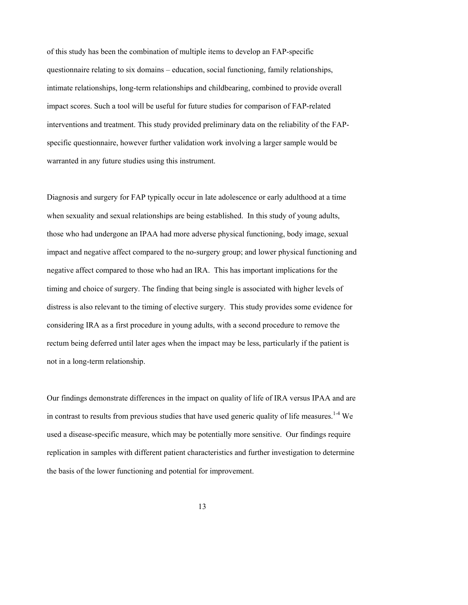of this study has been the combination of multiple items to develop an FAP-specific questionnaire relating to six domains – education, social functioning, family relationships, intimate relationships, long-term relationships and childbearing, combined to provide overall impact scores. Such a tool will be useful for future studies for comparison of FAP-related interventions and treatment. This study provided preliminary data on the reliability of the FAPspecific questionnaire, however further validation work involving a larger sample would be warranted in any future studies using this instrument.

Diagnosis and surgery for FAP typically occur in late adolescence or early adulthood at a time when sexuality and sexual relationships are being established. In this study of young adults, those who had undergone an IPAA had more adverse physical functioning, body image, sexual impact and negative affect compared to the no-surgery group; and lower physical functioning and negative affect compared to those who had an IRA. This has important implications for the timing and choice of surgery. The finding that being single is associated with higher levels of distress is also relevant to the timing of elective surgery. This study provides some evidence for considering IRA as a first procedure in young adults, with a second procedure to remove the rectum being deferred until later ages when the impact may be less, particularly if the patient is not in a long-term relationship.

Our findings demonstrate differences in the impact on quality of life of IRA versus IPAA and are in contrast to results from previous studies that have used generic quality of life measures.<sup>1-4</sup> We used a disease-specific measure, which may be potentially more sensitive. Our findings require replication in samples with different patient characteristics and further investigation to determine the basis of the lower functioning and potential for improvement.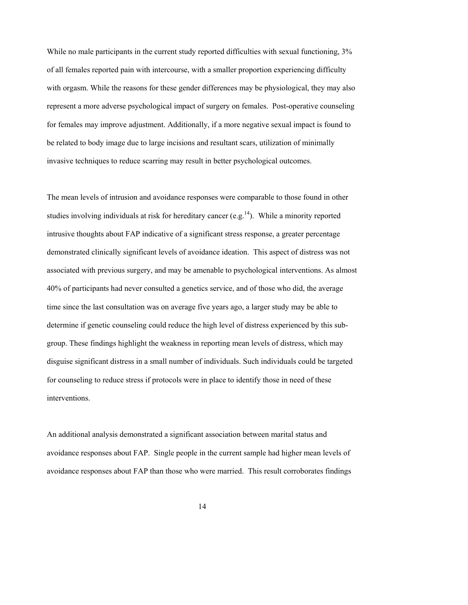While no male participants in the current study reported difficulties with sexual functioning,  $3\%$ of all females reported pain with intercourse, with a smaller proportion experiencing difficulty with orgasm. While the reasons for these gender differences may be physiological, they may also represent a more adverse psychological impact of surgery on females. Post-operative counseling for females may improve adjustment. Additionally, if a more negative sexual impact is found to be related to body image due to large incisions and resultant scars, utilization of minimally invasive techniques to reduce scarring may result in better psychological outcomes.

The mean levels of intrusion and avoidance responses were comparable to those found in other studies involving individuals at risk for hereditary cancer (e.g.<sup>14</sup>). While a minority reported intrusive thoughts about FAP indicative of a significant stress response, a greater percentage demonstrated clinically significant levels of avoidance ideation. This aspect of distress was not associated with previous surgery, and may be amenable to psychological interventions. As almost 40% of participants had never consulted a genetics service, and of those who did, the average time since the last consultation was on average five years ago, a larger study may be able to determine if genetic counseling could reduce the high level of distress experienced by this subgroup. These findings highlight the weakness in reporting mean levels of distress, which may disguise significant distress in a small number of individuals. Such individuals could be targeted for counseling to reduce stress if protocols were in place to identify those in need of these interventions.

An additional analysis demonstrated a significant association between marital status and avoidance responses about FAP. Single people in the current sample had higher mean levels of avoidance responses about FAP than those who were married. This result corroborates findings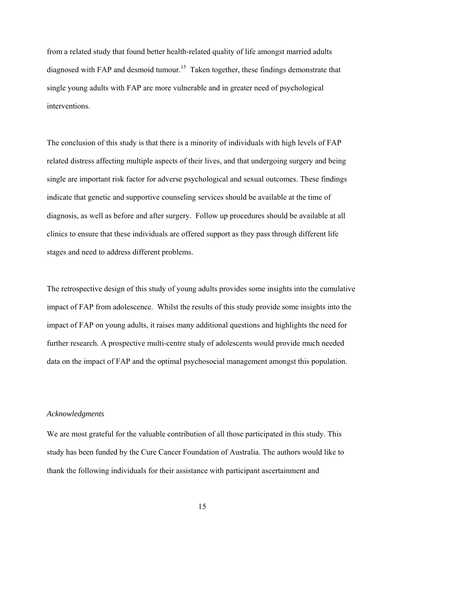from a related study that found better health-related quality of life amongst married adults diagnosed with FAP and desmoid tumour.<sup>15</sup> Taken together, these findings demonstrate that single young adults with FAP are more vulnerable and in greater need of psychological interventions.

The conclusion of this study is that there is a minority of individuals with high levels of FAP related distress affecting multiple aspects of their lives, and that undergoing surgery and being single are important risk factor for adverse psychological and sexual outcomes. These findings indicate that genetic and supportive counseling services should be available at the time of diagnosis, as well as before and after surgery. Follow up procedures should be available at all clinics to ensure that these individuals are offered support as they pass through different life stages and need to address different problems.

The retrospective design of this study of young adults provides some insights into the cumulative impact of FAP from adolescence. Whilst the results of this study provide some insights into the impact of FAP on young adults, it raises many additional questions and highlights the need for further research. A prospective multi-centre study of adolescents would provide much needed data on the impact of FAP and the optimal psychosocial management amongst this population.

#### *Acknowledgments*

We are most grateful for the valuable contribution of all those participated in this study. This study has been funded by the Cure Cancer Foundation of Australia. The authors would like to thank the following individuals for their assistance with participant ascertainment and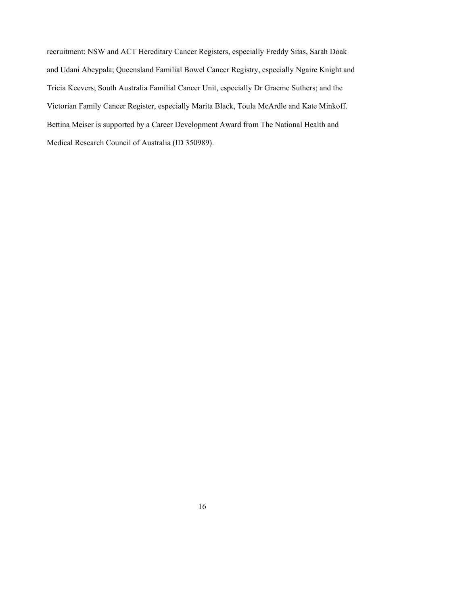recruitment: NSW and ACT Hereditary Cancer Registers, especially Freddy Sitas, Sarah Doak and Udani Abeypala; Queensland Familial Bowel Cancer Registry, especially Ngaire Knight and Tricia Keevers; South Australia Familial Cancer Unit, especially Dr Graeme Suthers; and the Victorian Family Cancer Register, especially Marita Black, Toula McArdle and Kate Minkoff. Bettina Meiser is supported by a Career Development Award from The National Health and Medical Research Council of Australia (ID 350989).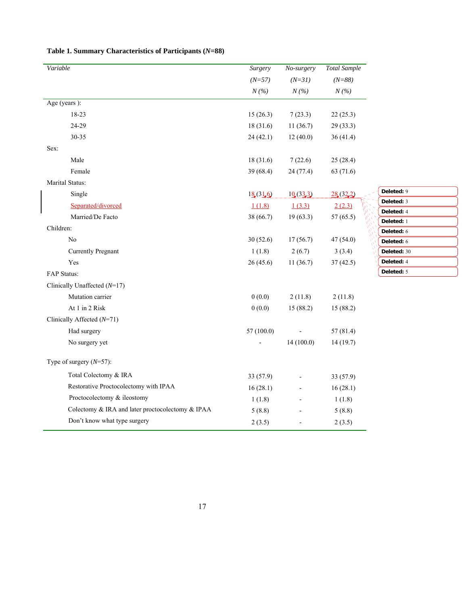| Variable                                         | Surgery    | No-surgery | <b>Total Sample</b> |                          |
|--------------------------------------------------|------------|------------|---------------------|--------------------------|
|                                                  | $(N=57)$   | $(N = 31)$ | $(N = 88)$          |                          |
|                                                  | N(%)       | N(%)       | N(%)                |                          |
| Age (years):                                     |            |            |                     |                          |
| 18-23                                            | 15(26.3)   | 7(23.3)    | 22(25.3)            |                          |
| 24-29                                            | 18(31.6)   | 11(36.7)   | 29 (33.3)           |                          |
| 30-35                                            | 24(42.1)   | 12(40.0)   | 36(41.4)            |                          |
| Sex:                                             |            |            |                     |                          |
| Male                                             | 18(31.6)   | 7(22.6)    | 25(28.4)            |                          |
| Female                                           | 39 (68.4)  | 24(77.4)   | 63 (71.6)           |                          |
| Marital Status:                                  |            |            |                     |                          |
| Single                                           | 18(316)    | 10(333)    | 28(322)             | Deleted: 9               |
| Separated/divorced                               | 1(1.8)     | 1(3.3)     | 2(2.3)              | Deleted: 3               |
| Married/De Facto                                 | 38 (66.7)  | 19(63.3)   | 57(65.5)            | Deleted: 4<br>Deleted: 1 |
| Children:                                        |            |            |                     | Deleted: 6               |
| No                                               | 30(52.6)   | 17(56.7)   | 47 (54.0)           | Deleted: 6               |
| <b>Currently Pregnant</b>                        | 1(1.8)     | 2(6.7)     | 3(3.4)              | Deleted: 30              |
| Yes                                              | 26(45.6)   | 11(36.7)   | 37(42.5)            | Deleted: 4               |
| FAP Status:                                      |            |            |                     | Deleted: 5               |
| Clinically Unaffected $(N=17)$                   |            |            |                     |                          |
| Mutation carrier                                 | 0(0.0)     | 2(11.8)    | 2(11.8)             |                          |
| At 1 in 2 Risk                                   | 0(0.0)     | 15 (88.2)  | 15(88.2)            |                          |
| Clinically Affected (N=71)                       |            |            |                     |                          |
| Had surgery                                      | 57 (100.0) |            | 57(81.4)            |                          |
| No surgery yet                                   |            | 14(100.0)  | 14(19.7)            |                          |
| Type of surgery $(N=57)$ :                       |            |            |                     |                          |
| Total Colectomy & IRA                            | 33 (57.9)  |            | 33 (57.9)           |                          |
| Restorative Proctocolectomy with IPAA            | 16(28.1)   |            | 16(28.1)            |                          |
| Proctocolectomy & ileostomy                      | 1(1.8)     |            | 1(1.8)              |                          |
| Colectomy & IRA and later proctocolectomy & IPAA | 5(8.8)     |            | 5(8.8)              |                          |
| Don't know what type surgery                     | 2(3.5)     |            | 2(3.5)              |                          |

### **Table 1. Summary Characteristics of Participants (***N***=88)**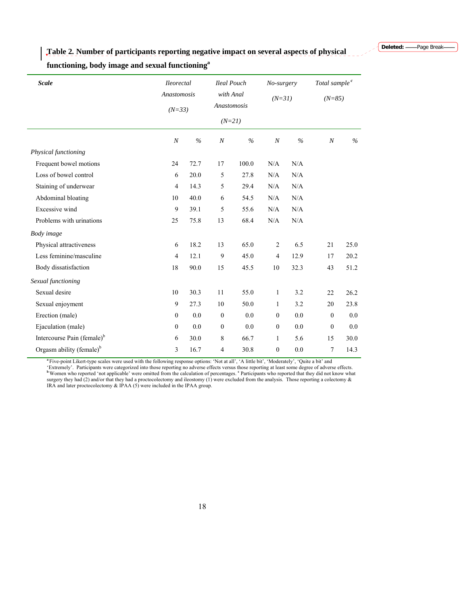**Table 2***.* **Number of participants reporting negative impact on several aspects of physical** 

**functioning, body image and sexual functioning<sup>a</sup>**

| <b>Scale</b>                           | <b>Ileorectal</b><br>Anastomosis |      | <b>Ileal Pouch</b> |               | No-surgery       |          | Total sample <sup>c</sup> |          |
|----------------------------------------|----------------------------------|------|--------------------|---------------|------------------|----------|---------------------------|----------|
|                                        |                                  |      |                    | with Anal     |                  | $(N=31)$ |                           | $(N=85)$ |
|                                        | $(N=33)$                         |      | Anastomosis        |               |                  |          |                           |          |
|                                        |                                  |      | $(N=21)$           |               |                  |          |                           |          |
|                                        | $\boldsymbol{N}$                 | $\%$ | $\boldsymbol{N}$   | $\frac{0}{6}$ | $\boldsymbol{N}$ | $\%$     | $\boldsymbol{N}$          | $\%$     |
| Physical functioning                   |                                  |      |                    |               |                  |          |                           |          |
| Frequent bowel motions                 | 24                               | 72.7 | 17                 | 100.0         | N/A              | N/A      |                           |          |
| Loss of bowel control                  | 6                                | 20.0 | 5                  | 27.8          | N/A              | N/A      |                           |          |
| Staining of underwear                  | $\overline{4}$                   | 14.3 | 5                  | 29.4          | N/A              | N/A      |                           |          |
| Abdominal bloating                     | 10                               | 40.0 | 6                  | 54.5          | N/A              | N/A      |                           |          |
| Excessive wind                         | 9                                | 39.1 | 5                  | 55.6          | N/A              | N/A      |                           |          |
| Problems with urinations               | 25                               | 75.8 | 13                 | 68.4          | N/A              | N/A      |                           |          |
| Body image                             |                                  |      |                    |               |                  |          |                           |          |
| Physical attractiveness                | 6                                | 18.2 | 13                 | 65.0          | $\overline{2}$   | 6.5      | 21                        | 25.0     |
| Less feminine/masculine                | 4                                | 12.1 | 9                  | 45.0          | $\overline{4}$   | 12.9     | 17                        | 20.2     |
| Body dissatisfaction                   | 18                               | 90.0 | 15                 | 45.5          | 10               | 32.3     | 43                        | 51.2     |
| Sexual functioning                     |                                  |      |                    |               |                  |          |                           |          |
| Sexual desire                          | 10                               | 30.3 | 11                 | 55.0          | $\mathbf{1}$     | 3.2      | 22                        | 26.2     |
| Sexual enjoyment                       | 9                                | 27.3 | 10                 | 50.0          | $\mathbf{1}$     | 3.2      | 20                        | 23.8     |
| Erection (male)                        | $\overline{0}$                   | 0.0  | $\mathbf{0}$       | 0.0           | $\boldsymbol{0}$ | 0.0      | $\mathbf{0}$              | 0.0      |
| Ejaculation (male)                     | $\boldsymbol{0}$                 | 0.0  | $\boldsymbol{0}$   | 0.0           | $\boldsymbol{0}$ | 0.0      | $\mathbf{0}$              | 0.0      |
| Intercourse Pain (female) <sup>b</sup> | 6                                | 30.0 | 8                  | 66.7          | $\mathbf{1}$     | 5.6      | 15                        | 30.0     |
| Orgasm ability (female) $b$            | 3                                | 16.7 | 4                  | 30.8          | $\mathbf{0}$     | 0.0      | $\tau$                    | 14.3     |
|                                        |                                  |      |                    |               |                  |          |                           |          |

<sup>a</sup> Five-point Likert-type scales were used with the following response options: 'Not at all', 'A little bit', 'Moderately', 'Quite a bit' and 'Extremely'. Participants were categorized into those reporting no adverse effe IRA and later proctocolectomy & IPAA (5) were included in the IPAA group.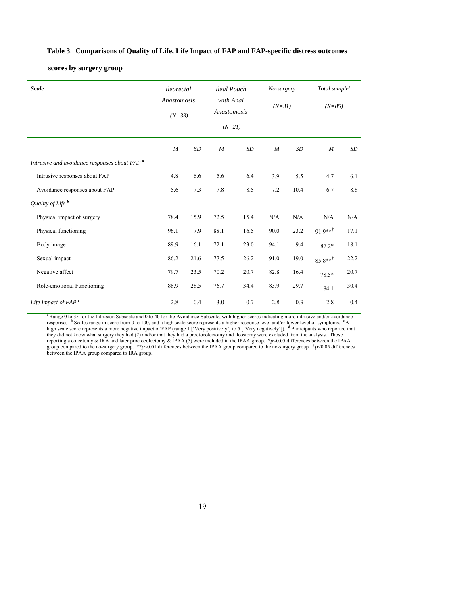#### **Table 3**. **Comparisons of Quality of Life, Life Impact of FAP and FAP-specific distress outcomes**

#### **scores by surgery group**

| <b>Scale</b>                                             | <i><u><b>Ileorectal</b></u></i><br><b>Ileal Pouch</b> |      |             | No-surgery            |                  | Total sample <sup>d</sup> |                     |      |
|----------------------------------------------------------|-------------------------------------------------------|------|-------------|-----------------------|------------------|---------------------------|---------------------|------|
|                                                          | Anastomosis<br>$(N=33)$                               |      | Anastomosis | with Anal<br>$(N=21)$ |                  | $(N=31)$<br>$(N=85)$      |                     |      |
|                                                          | $\cal M$                                              | SD   | $\cal M$    | SD                    | $\boldsymbol{M}$ | SD                        | $\cal M$            | SD   |
| Intrusive and avoidance responses about FAP <sup>a</sup> |                                                       |      |             |                       |                  |                           |                     |      |
| Intrusive responses about FAP                            | 4.8                                                   | 6.6  | 5.6         | 6.4                   | 3.9              | 5.5                       | 4.7                 | 6.1  |
| Avoidance responses about FAP                            | 5.6                                                   | 7.3  | 7.8         | 8.5                   | 7.2              | 10.4                      | 6.7                 | 8.8  |
| Quality of Life <sup>b</sup>                             |                                                       |      |             |                       |                  |                           |                     |      |
| Physical impact of surgery                               | 78.4                                                  | 15.9 | 72.5        | 15.4                  | N/A              | N/A                       | N/A                 | N/A  |
| Physical functioning                                     | 96.1                                                  | 7.9  | 88.1        | 16.5                  | 90.0             | 23.2                      | $91.9***^{\dagger}$ | 17.1 |
| Body image                                               | 89.9                                                  | 16.1 | 72.1        | 23.0                  | 94.1             | 9.4                       | $87.2*$             | 18.1 |
| Sexual impact                                            | 86.2                                                  | 21.6 | 77.5        | 26.2                  | 91.0             | 19.0                      | $85.8**^{\dagger}$  | 22.2 |
| Negative affect                                          | 79.7                                                  | 23.5 | 70.2        | 20.7                  | 82.8             | 16.4                      | $78.5*$             | 20.7 |
| Role-emotional Functioning                               | 88.9                                                  | 28.5 | 76.7        | 34.4                  | 83.9             | 29.7                      | 84.1                | 30.4 |
| Life Impact of $FAPc$                                    | 2.8                                                   | 0.4  | 3.0         | 0.7                   | 2.8              | 0.3                       | 2.8                 | 0.4  |

<sup>a</sup> Range 0 to 35 for the Intrusion Subscale and 0 to 40 for the Avoidance Subscale, with higher scores indicating more intrusive and/or avoidance responses. <sup>b</sup> Scales range in score from 0 to 100, and a high scale score high scale score represents a more negative impact of FAP (range 1 ['Very positively'] to 5 ['Very negatively']). <sup>d</sup> Participants who reported that<br>they did not know what surgery they had (2) and/or that they had a procto group compared to the no-surgery group. \*\**p*<0.01 differences between the IPAA group compared to the no-surgery group. <sup>†</sup> *p*<0.05 differences between the IPAA group compared to IRA group.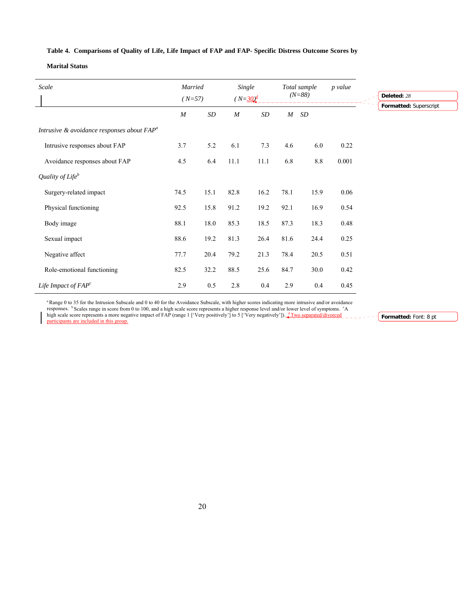#### **Table 4. Comparisons of Quality of Life, Life Impact of FAP and FAP- Specific Distress Outcome Scores by**

#### **Marital Status**

| Scale                                            |                  | Married<br>Single<br>$(N=30)^d$<br>$(N=57)$ |                  | Total sample<br>$(N=88)$ |                  | p value   | Deleted: 28 |                        |
|--------------------------------------------------|------------------|---------------------------------------------|------------------|--------------------------|------------------|-----------|-------------|------------------------|
|                                                  | $\boldsymbol{M}$ | SD                                          | $\boldsymbol{M}$ | $\cal SD$                | $\boldsymbol{M}$ | $\cal SD$ |             | Formatted: Superscript |
| Intrusive $\&$ avoidance responses about $FAP^a$ |                  |                                             |                  |                          |                  |           |             |                        |
| Intrusive responses about FAP                    | 3.7              | 5.2                                         | 6.1              | 7.3                      | 4.6              | 6.0       | 0.22        |                        |
| Avoidance responses about FAP                    | 4.5              | 6.4                                         | 11.1             | 11.1                     | 6.8              | 8.8       | 0.001       |                        |
| Quality of Life $^b$                             |                  |                                             |                  |                          |                  |           |             |                        |
| Surgery-related impact                           | 74.5             | 15.1                                        | 82.8             | 16.2                     | 78.1             | 15.9      | 0.06        |                        |
| Physical functioning                             | 92.5             | 15.8                                        | 91.2             | 19.2                     | 92.1             | 16.9      | 0.54        |                        |
| Body image                                       | 88.1             | 18.0                                        | 85.3             | 18.5                     | 87.3             | 18.3      | 0.48        |                        |
| Sexual impact                                    | 88.6             | 19.2                                        | 81.3             | 26.4                     | 81.6             | 24.4      | 0.25        |                        |
| Negative affect                                  | 77.7             | 20.4                                        | 79.2             | 21.3                     | 78.4             | 20.5      | 0.51        |                        |
| Role-emotional functioning                       | 82.5             | 32.2                                        | 88.5             | 25.6                     | 84.7             | 30.0      | 0.42        |                        |
| Life Impact of $FAP^c$                           | 2.9              | 0.5                                         | 2.8              | 0.4                      | 2.9              | 0.4       | 0.45        |                        |

<sup>a</sup> Range 0 to 35 for the Intrusion Subscale and 0 to 40 for the Avoidance Subscale, with higher scores indicating more intrusive and/or avoidance responses. <sup>b</sup> Scales range in score from 0 to 100, and a high scale score

high scale score represents a more negative impact of FAP (range 1 ['Very positively'] to 5 ['Very negatively']). <u><sup>*d*Two separated/divorced</del> participants are included in this group.</u></u></sup> **Formatted:** Font: 8 pt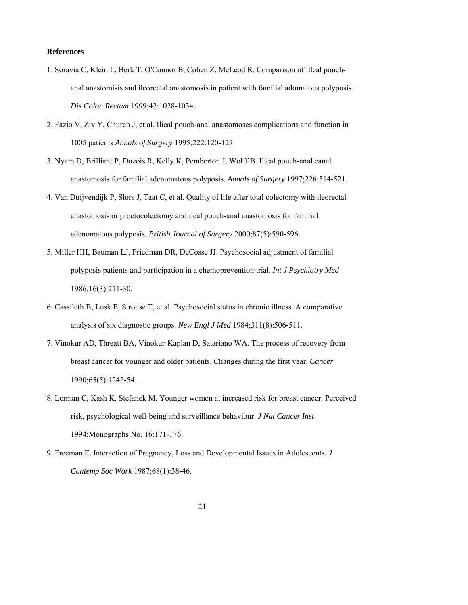#### **References**

- 1. Soravia C, Klein L, Berk T, O'Connor B, Cohen Z, McLeod R. Comparison of illeal pouchanal anastomisis and ileorectal anastomosis in patient with familial adomatous polyposis. *Dis Colon Rectum* 1999;42:1028-1034.
- 2. Fazio V, Ziv Y, Church J, et al. Ilieal pouch-anal anastomoses complications and function in 1005 patients *Annals of Surgery* 1995;222:120-127.
- 3. Nyam D, Brilliant P, Dozois R, Kelly K, Pemberton J, Wolff B. Ilieal pouch-anal canal anastomosis for familial adenomatous polyposis. *Annals of Surgery* 1997;226:514-521.
- 4. Van Duijvendijk P, Slors J, Taat C, et al. Quality of life after total colectomy with ileorectal anastomosis or proctocolectomy and ileal pouch-anal anastomosis for familial adenomatous polyposis. *British Journal of Surgery* 2000;87(5):590-596.
- 5. Miller HH, Bauman LJ, Friedman DR, DeCosse JJ. Psychosocial adjustment of familial polyposis patients and participation in a chemoprevention trial. *Int J Psychiatry Med* 1986;16(3):211-30.
- 6. Cassileth B, Lusk E, Strouse T, et al. Psychosocial status in chronic illness. A comparative analysis of six diagnostic groups. *New Engl J Med* 1984;311(8):506-511.
- 7. Vinokur AD, Threatt BA, Vinokur-Kaplan D, Satariano WA. The process of recovery from breast cancer for younger and older patients. Changes during the first year. *Cancer* 1990;65(5):1242-54.
- 8. Lerman C, Kash K, Stefanek M. Younger women at increased risk for breast cancer: Perceived risk, psychological well-being and surveillance behaviour. *J Nat Cancer Inst* 1994;Monographs No. 16:171-176.
- 9. Freeman E. Interaction of Pregnancy, Loss and Developmental Issues in Adolescents. *J Contemp Soc Work* 1987;68(1):38-46.